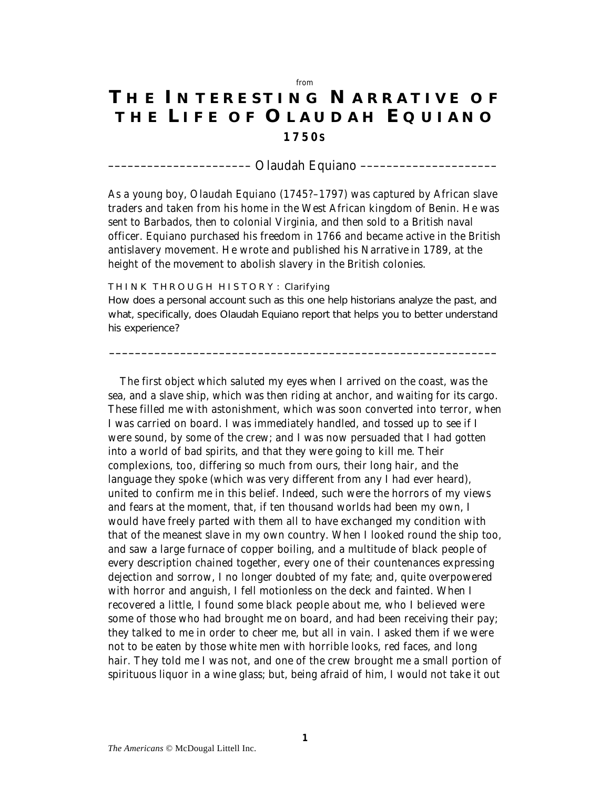## *from*

## **T H E I N T E R E S T I N G N A R R A T I V E O F T H E L I F E O F O L A U D A H E Q U I A N O 1 7 5 0 S**

*–––––––––––––––––––––– Olaudah Equiano –––––––––––––––––––––*

As a young boy, Olaudah Equiano (1745?–1797) was captured by African slave traders and taken from his home in the West African kingdom of Benin. He was sent to Barbados, then to colonial Virginia, and then sold to a British naval officer. Equiano purchased his freedom in 1766 and became active in the British antislavery movement. He wrote and published his *Narrative* in 1789, at the height of the movement to abolish slavery in the British colonies.

## THINK THROUGH HISTORY: Clarifying

How does a personal account such as this one help historians analyze the past, and what, specifically, does Olaudah Equiano report that helps you to better understand his experience?

*––––––––––––––––––––––––––––––––––––––––––––––––––––––––––––*

The first object which saluted my eyes when I arrived on the coast, was the sea, and a slave ship, which was then riding at anchor, and waiting for its cargo. These filled me with astonishment, which was soon converted into terror, when I was carried on board. I was immediately handled, and tossed up to see if I were sound, by some of the crew; and I was now persuaded that I had gotten into a world of bad spirits, and that they were going to kill me. Their complexions, too, differing so much from ours, their long hair, and the language they spoke (which was very different from any I had ever heard), united to confirm me in this belief. Indeed, such were the horrors of my views and fears at the moment, that, if ten thousand worlds had been my own, I would have freely parted with them all to have exchanged my condition with that of the meanest slave in my own country. When I looked round the ship too, and saw a large furnace of copper boiling, and a multitude of black people of every description chained together, every one of their countenances expressing dejection and sorrow, I no longer doubted of my fate; and, quite overpowered with horror and anguish, I fell motionless on the deck and fainted. When I recovered a little, I found some black people about me, who I believed were some of those who had brought me on board, and had been receiving their pay; they talked to me in order to cheer me, but all in vain. I asked them if we were not to be eaten by those white men with horrible looks, red faces, and long hair. They told me I was not, and one of the crew brought me a small portion of spirituous liquor in a wine glass; but, being afraid of him, I would not take it out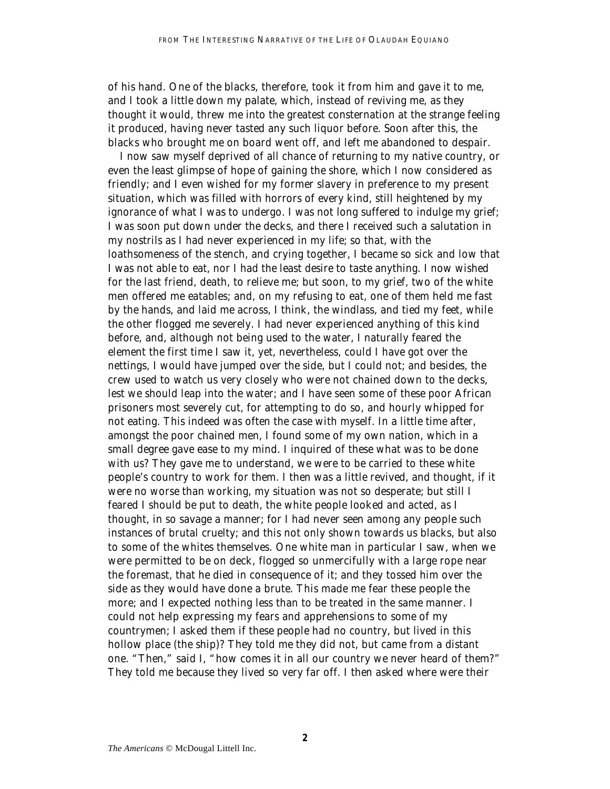of his hand. One of the blacks, therefore, took it from him and gave it to me, and I took a little down my palate, which, instead of reviving me, as they thought it would, threw me into the greatest consternation at the strange feeling it produced, having never tasted any such liquor before. Soon after this, the blacks who brought me on board went off, and left me abandoned to despair.

I now saw myself deprived of all chance of returning to my native country, or even the least glimpse of hope of gaining the shore, which I now considered as friendly; and I even wished for my former slavery in preference to my present situation, which was filled with horrors of every kind, still heightened by my ignorance of what I was to undergo. I was not long suffered to indulge my grief; I was soon put down under the decks, and there I received such a salutation in my nostrils as I had never experienced in my life; so that, with the loathsomeness of the stench, and crying together, I became so sick and low that I was not able to eat, nor I had the least desire to taste anything. I now wished for the last friend, death, to relieve me; but soon, to my grief, two of the white men offered me eatables; and, on my refusing to eat, one of them held me fast by the hands, and laid me across, I think, the windlass, and tied my feet, while the other flogged me severely. I had never experienced anything of this kind before, and, although not being used to the water, I naturally feared the element the first time I saw it, yet, nevertheless, could I have got over the nettings, I would have jumped over the side, but I could not; and besides, the crew used to watch us very closely who were not chained down to the decks, lest we should leap into the water; and I have seen some of these poor African prisoners most severely cut, for attempting to do so, and hourly whipped for not eating. This indeed was often the case with myself. In a little time after, amongst the poor chained men, I found some of my own nation, which in a small degree gave ease to my mind. I inquired of these what was to be done with us? They gave me to understand, we were to be carried to these white people's country to work for them. I then was a little revived, and thought, if it were no worse than working, my situation was not so desperate; but still I feared I should be put to death, the white people looked and acted, as I thought, in so savage a manner; for I had never seen among any people such instances of brutal cruelty; and this not only shown towards us blacks, but also to some of the whites themselves. One white man in particular I saw, when we were permitted to be on deck, flogged so unmercifully with a large rope near the foremast, that he died in consequence of it; and they tossed him over the side as they would have done a brute. This made me fear these people the more; and I expected nothing less than to be treated in the same manner. I could not help expressing my fears and apprehensions to some of my countrymen; I asked them if these people had no country, but lived in this hollow place (the ship)? They told me they did not, but came from a distant one. "Then," said I, "how comes it in all our country we never heard of them?" They told me because they lived so very far off. I then asked where were their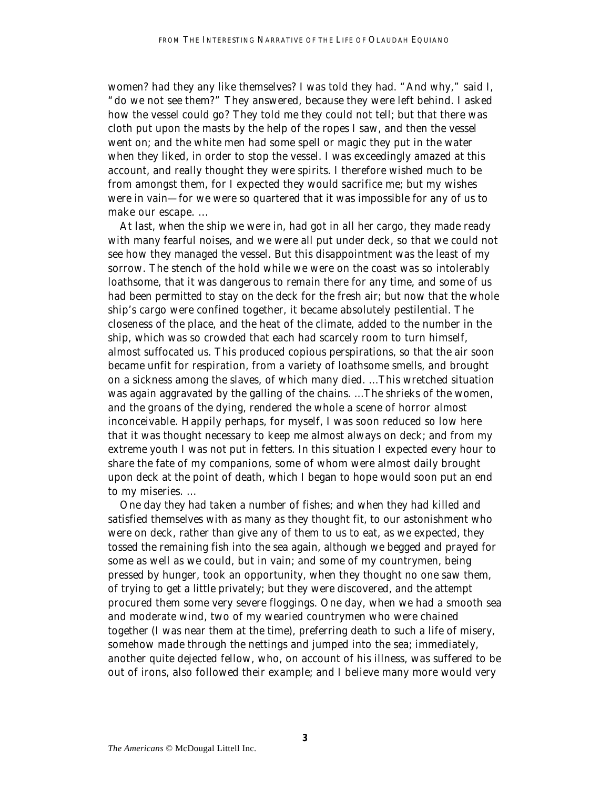women? had they any like themselves? I was told they had. "And why," said I, "do we not see them?" They answered, because they were left behind. I asked how the vessel could go? They told me they could not tell; but that there was cloth put upon the masts by the help of the ropes I saw, and then the vessel went on; and the white men had some spell or magic they put in the water when they liked, in order to stop the vessel. I was exceedingly amazed at this account, and really thought they were spirits. I therefore wished much to be from amongst them, for I expected they would sacrifice me; but my wishes were in vain—for we were so quartered that it was impossible for any of us to make our escape. ...

At last, when the ship we were in, had got in all her cargo, they made ready with many fearful noises, and we were all put under deck, so that we could not see how they managed the vessel. But this disappointment was the least of my sorrow. The stench of the hold while we were on the coast was so intolerably loathsome, that it was dangerous to remain there for any time, and some of us had been permitted to stay on the deck for the fresh air; but now that the whole ship's cargo were confined together, it became absolutely pestilential. The closeness of the place, and the heat of the climate, added to the number in the ship, which was so crowded that each had scarcely room to turn himself, almost suffocated us. This produced copious perspirations, so that the air soon became unfit for respiration, from a variety of loathsome smells, and brought on a sickness among the slaves, of which many died. ...This wretched situation was again aggravated by the galling of the chains. ...The shrieks of the women, and the groans of the dying, rendered the whole a scene of horror almost inconceivable. Happily perhaps, for myself, I was soon reduced so low here that it was thought necessary to keep me almost always on deck; and from my extreme youth I was not put in fetters. In this situation I expected every hour to share the fate of my companions, some of whom were almost daily brought upon deck at the point of death, which I began to hope would soon put an end to my miseries. ...

One day they had taken a number of fishes; and when they had killed and satisfied themselves with as many as they thought fit, to our astonishment who were on deck, rather than give any of them to us to eat, as we expected, they tossed the remaining fish into the sea again, although we begged and prayed for some as well as we could, but in vain; and some of my countrymen, being pressed by hunger, took an opportunity, when they thought no one saw them, of trying to get a little privately; but they were discovered, and the attempt procured them some very severe floggings. One day, when we had a smooth sea and moderate wind, two of my wearied countrymen who were chained together (I was near them at the time), preferring death to such a life of misery, somehow made through the nettings and jumped into the sea; immediately, another quite dejected fellow, who, on account of his illness, was suffered to be out of irons, also followed their example; and I believe many more would very